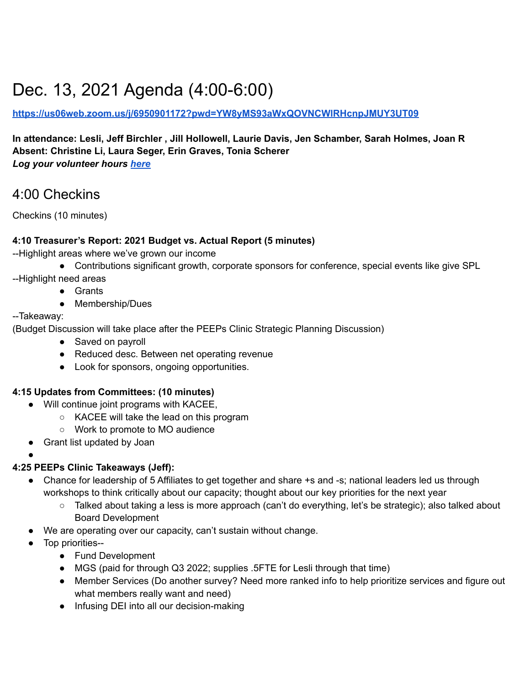# Dec. 13, 2021 Agenda (4:00-6:00)

#### **<https://us06web.zoom.us/j/6950901172?pwd=YW8yMS93aWxQOVNCWlRHcnpJMUY3UT09>**

#### **In attendance: Lesli, Jeff Birchler , Jill Hollowell, Laurie Davis, Jen Schamber, Sarah Holmes, Joan R Absent: Christine Li, Laura Seger, Erin Graves, Tonia Scherer** *Log your volunteer hours [here](https://docs.google.com/forms/d/e/1FAIpQLSeyGs3BdG_sxFAGpjjXzRryj-8Os6pPqOvRnoMgrYpaisbrkw/viewform?usp=sf_link)*

4:00 Checkins

Checkins (10 minutes)

#### **4:10 Treasurer's Report: 2021 Budget vs. Actual Report (5 minutes)**

--Highlight areas where we've grown our income

- Contributions significant growth, corporate sponsors for conference, special events like give SPL
- --Highlight need areas
	- Grants
	- Membership/Dues

#### --Takeaway:

●

(Budget Discussion will take place after the PEEPs Clinic Strategic Planning Discussion)

- Saved on payroll
- Reduced desc. Between net operating revenue
- Look for sponsors, ongoing opportunities.

#### **4:15 Updates from Committees: (10 minutes)**

- Will continue joint programs with KACEE,
	- KACEE will take the lead on this program
	- Work to promote to MO audience
- Grant list updated by Joan

#### **4:25 PEEPs Clinic Takeaways (Jeff):**

- Chance for leadership of 5 Affiliates to get together and share +s and -s; national leaders led us through workshops to think critically about our capacity; thought about our key priorities for the next year
	- Talked about taking a less is more approach (can't do everything, let's be strategic); also talked about Board Development
- We are operating over our capacity, can't sustain without change.
- Top priorities--
	- Fund Development
	- MGS (paid for through Q3 2022; supplies .5FTE for Lesli through that time)
	- Member Services (Do another survey? Need more ranked info to help prioritize services and figure out what members really want and need)
	- Infusing DEI into all our decision-making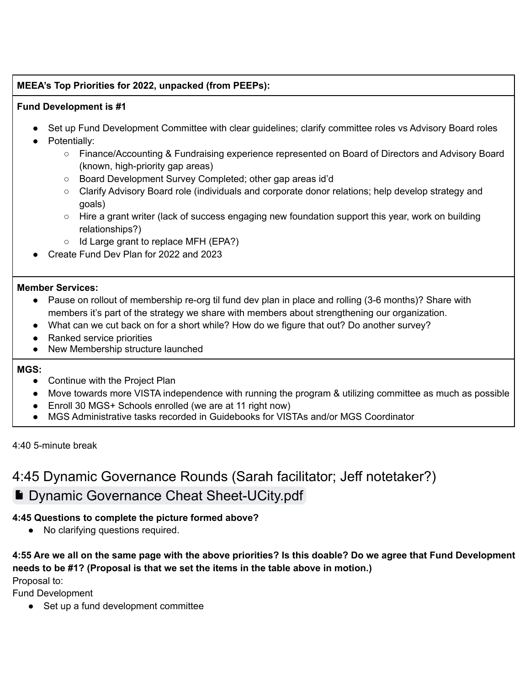#### **MEEA's Top Priorities for 2022, unpacked (from PEEPs):**

#### **Fund Development is #1**

- Set up Fund Development Committee with clear guidelines; clarify committee roles vs Advisory Board roles
- Potentially:
	- Finance/Accounting & Fundraising experience represented on Board of Directors and Advisory Board (known, high-priority gap areas)
	- Board Development Survey Completed; other gap areas id'd
	- Clarify Advisory Board role (individuals and corporate donor relations; help develop strategy and goals)
	- Hire a grant writer (lack of success engaging new foundation support this year, work on building relationships?)
	- Id Large grant to replace MFH (EPA?)
	- Create Fund Dev Plan for 2022 and 2023

#### **Member Services:**

- Pause on rollout of membership re-org til fund dev plan in place and rolling (3-6 months)? Share with members it's part of the strategy we share with members about strengthening our organization.
- What can we cut back on for a short while? How do we figure that out? Do another survey?
- Ranked service priorities
- New Membership structure launched

#### **MGS:**

- Continue with the Project Plan
- Move towards more VISTA independence with running the program & utilizing committee as much as possible
- Enroll 30 MGS+ Schools enrolled (we are at 11 right now)
- MGS Administrative tasks recorded in Guidebooks for VISTAs and/or MGS Coordinator

4:40 5-minute break

## 4:45 Dynamic Governance Rounds (Sarah facilitator; Jeff notetaker?) **[Dynamic Governance Cheat Sheet-UCity.pdf](https://drive.google.com/file/d/16sS0kGlQ0eH5GW9n9eM6jjFxAGQujtpL/view?usp=sharing)**

#### **4:45 Questions to complete the picture formed above?**

● No clarifying questions required.

**4:55 Are we all on the same page with the above priorities? Is this doable? Do we agree that Fund Development needs to be #1? (Proposal is that we set the items in the table above in motion.)**

Proposal to:

Fund Development

● Set up a fund development committee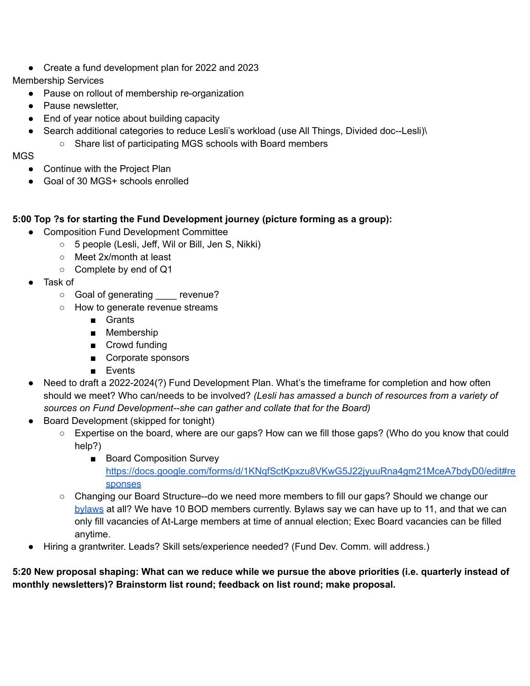● Create a fund development plan for 2022 and 2023

#### Membership Services

- Pause on rollout of membership re-organization
- Pause newsletter,
- End of year notice about building capacity
- Search additional categories to reduce Lesli's workload (use All Things, Divided doc--Lesli)\ ○ Share list of participating MGS schools with Board members

#### MGS

- Continue with the Project Plan
- Goal of 30 MGS+ schools enrolled

#### **5:00 Top ?s for starting the Fund Development journey (picture forming as a group):**

- Composition Fund Development Committee
	- 5 people (Lesli, Jeff, Wil or Bill, Jen S, Nikki)
	- Meet 2x/month at least
	- Complete by end of Q1
- Task of
	- Goal of generating revenue?
	- How to generate revenue streams
		- Grants
		- Membership
		- Crowd funding
		- Corporate sponsors
		- Events
- Need to draft a 2022-2024(?) Fund Development Plan. What's the timeframe for completion and how often should we meet? Who can/needs to be involved? *(Lesli has amassed a bunch of resources from a variety of sources on Fund Development--she can gather and collate that for the Board)*
- Board Development (skipped for tonight)
	- Expertise on the board, where are our gaps? How can we fill those gaps? (Who do you know that could help?)
		- Board Composition Survey [https://docs.google.com/forms/d/1KNqfSctKpxzu8VKwG5J22jyuuRna4gm21MceA7bdyD0/edit#re](https://docs.google.com/forms/d/1KNqfSctKpxzu8VKwG5J22jyuuRna4gm21MceA7bdyD0/edit#responses) [sponses](https://docs.google.com/forms/d/1KNqfSctKpxzu8VKwG5J22jyuuRna4gm21MceA7bdyD0/edit#responses)
	- Changing our Board Structure--do we need more members to fill our gaps? Should we change our [bylaws](https://docs.google.com/document/d/1yppsqlPYdegbENqsS3I0j7KOpNgalIhtxMPjvN1Q9zw/edit) at all? We have 10 BOD members currently. Bylaws say we can have up to 11, and that we can only fill vacancies of At-Large members at time of annual election; Exec Board vacancies can be filled anytime.
- Hiring a grantwriter. Leads? Skill sets/experience needed? (Fund Dev. Comm. will address.)

**5:20 New proposal shaping: What can we reduce while we pursue the above priorities (i.e. quarterly instead of monthly newsletters)? Brainstorm list round; feedback on list round; make proposal.**